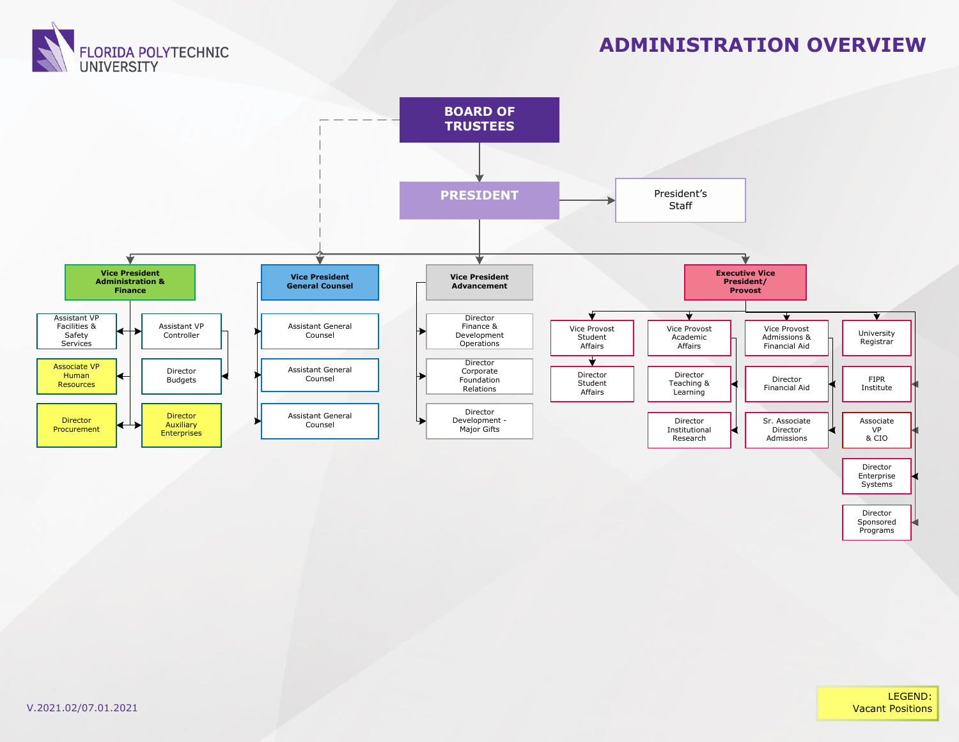

#### **ADMINISTRATION OVERVIEW**



Director Sponsored Programs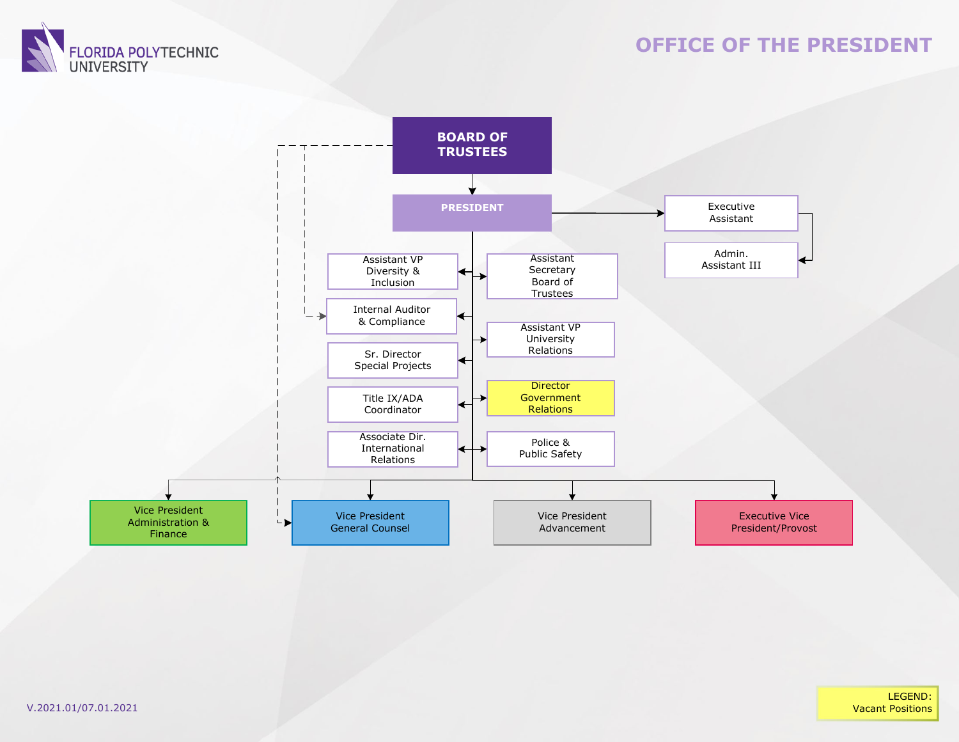

#### **OFFICE OF THE PRESIDENT**



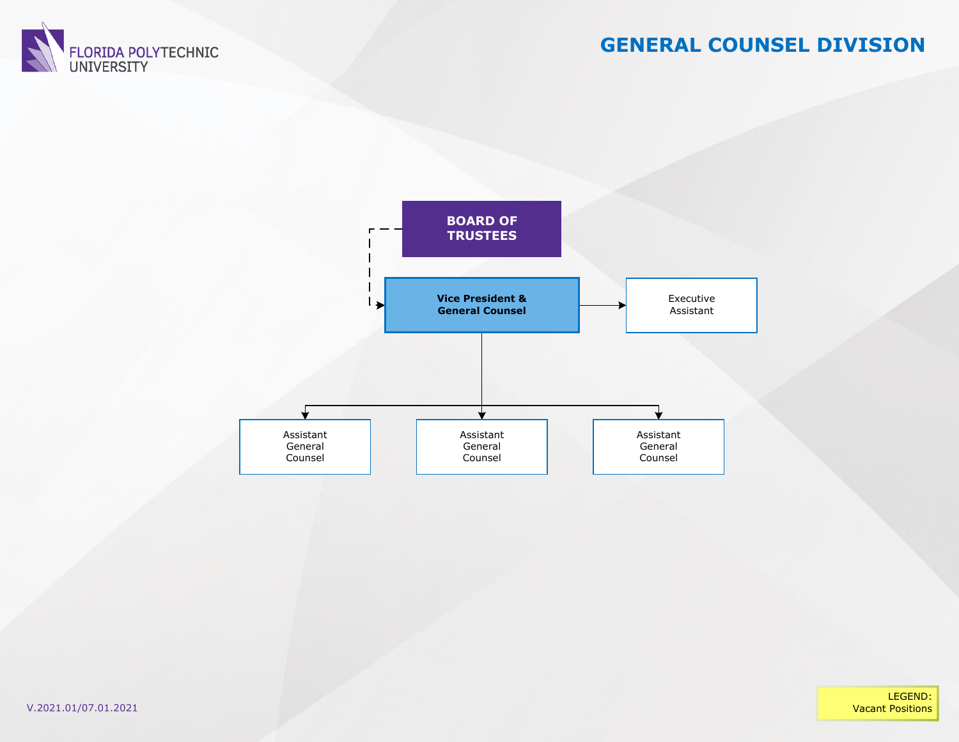

#### **GENERAL COUNSEL DIVISION**



LEGEND:**Vacant Positions**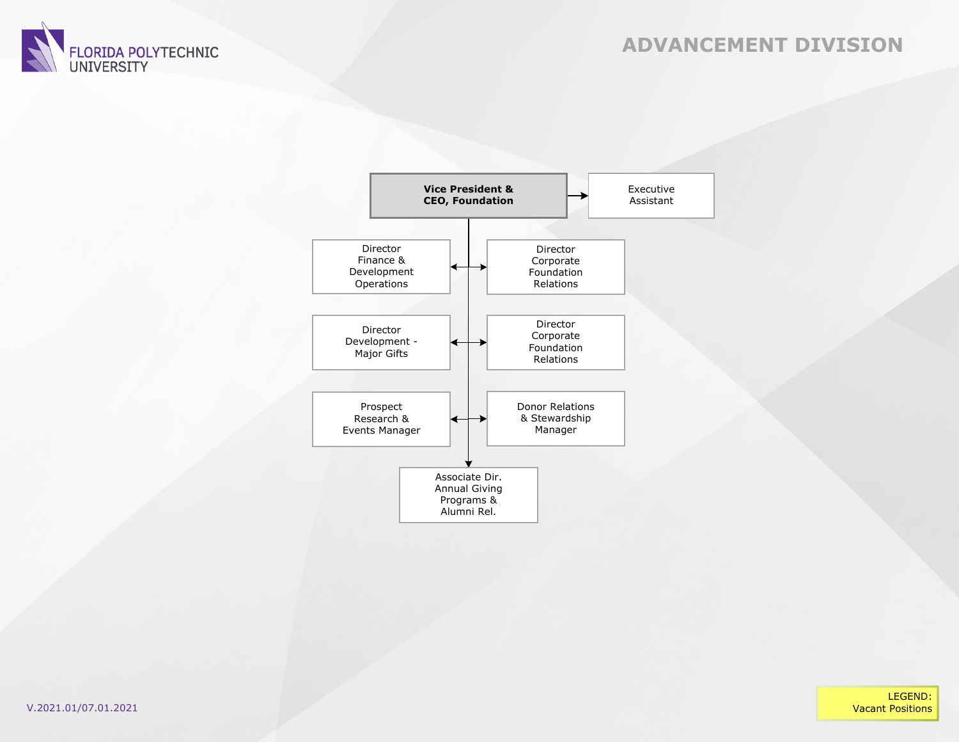





LEGEND:**Vacant Positions**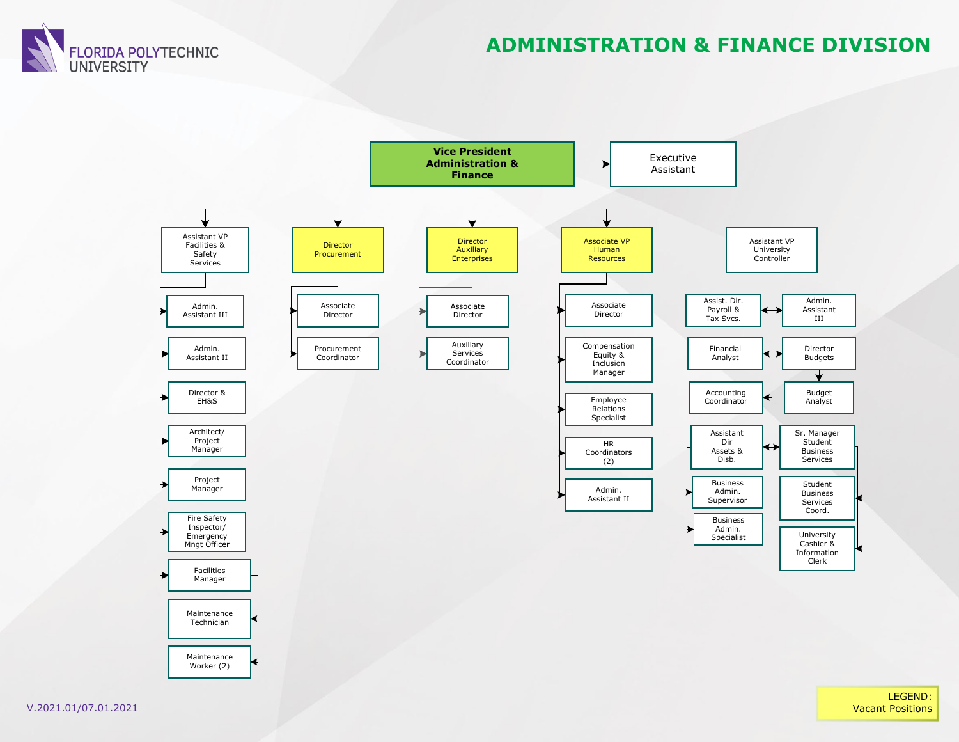

### **ADMINISTRATION & FINANCE DIVISION**



LEGEND: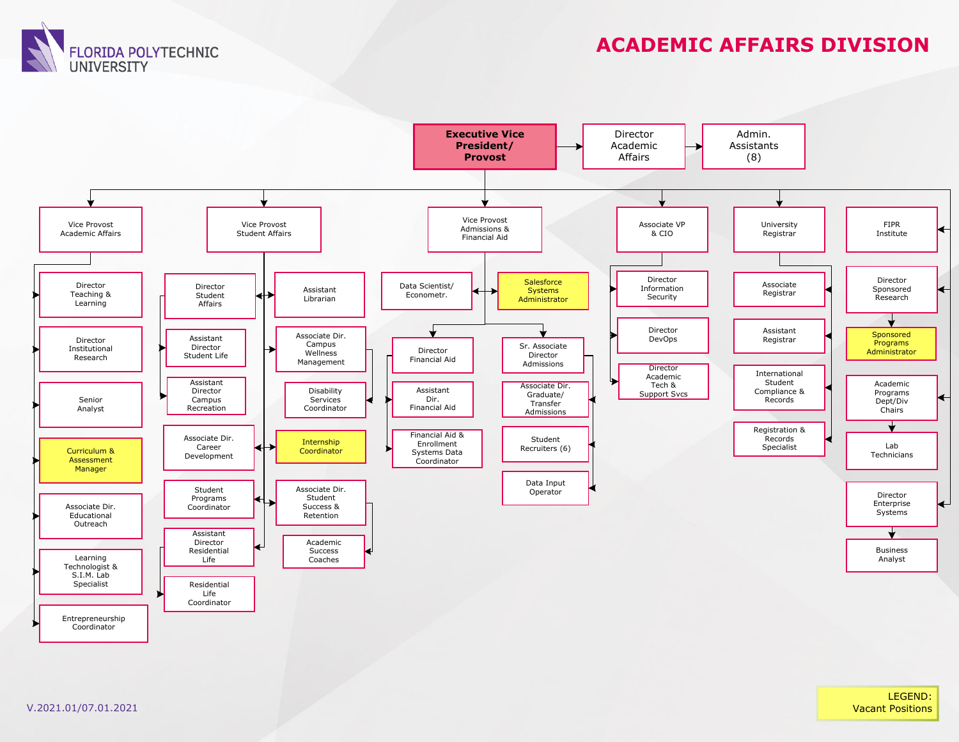**FLORIDA POLYTECHNIC UNIVERSITY** 

## **ACADEMIC AFFAIRS DIVISION**

LEGEND: